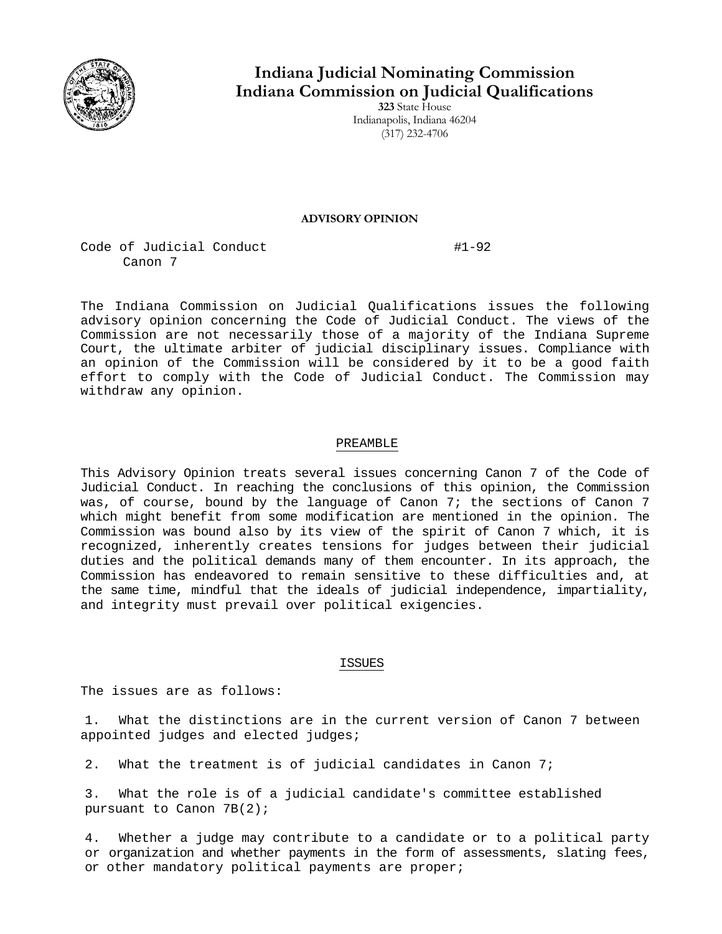

# **Indiana Judicial Nominating Commission Indiana Commission on Judicial Qualifications**

**323** State House Indianapolis, Indiana 46204 (317) 232-4706

### **ADVISORY OPINION**

Code of Judicial Conduct #1-92 Canon 7

The Indiana Commission on Judicial Qualifications issues the following advisory opinion concerning the Code of Judicial Conduct. The views of the Commission are not necessarily those of a majority of the Indiana Supreme Court, the ultimate arbiter of judicial disciplinary issues. Compliance with an opinion of the Commission will be considered by it to be a good faith effort to comply with the Code of Judicial Conduct. The Commission may withdraw any opinion.

# PREAMBLE

This Advisory Opinion treats several issues concerning Canon 7 of the Code of Judicial Conduct. In reaching the conclusions of this opinion, the Commission was, of course, bound by the language of Canon 7; the sections of Canon 7 which might benefit from some modification are mentioned in the opinion. The Commission was bound also by its view of the spirit of Canon 7 which, it is recognized, inherently creates tensions for judges between their judicial duties and the political demands many of them encounter. In its approach, the Commission has endeavored to remain sensitive to these difficulties and, at the same time, mindful that the ideals of judicial independence, impartiality, and integrity must prevail over political exigencies.

# ISSUES

The issues are as follows:

1. What the distinctions are in the current version of Canon 7 between appointed judges and elected judges;

2. What the treatment is of judicial candidates in Canon 7;

3. What the role is of a judicial candidate's committee established pursuant to Canon 7B(2);

4. Whether a judge may contribute to a candidate or to a political party or organization and whether payments in the form of assessments, slating fees, or other mandatory political payments are proper;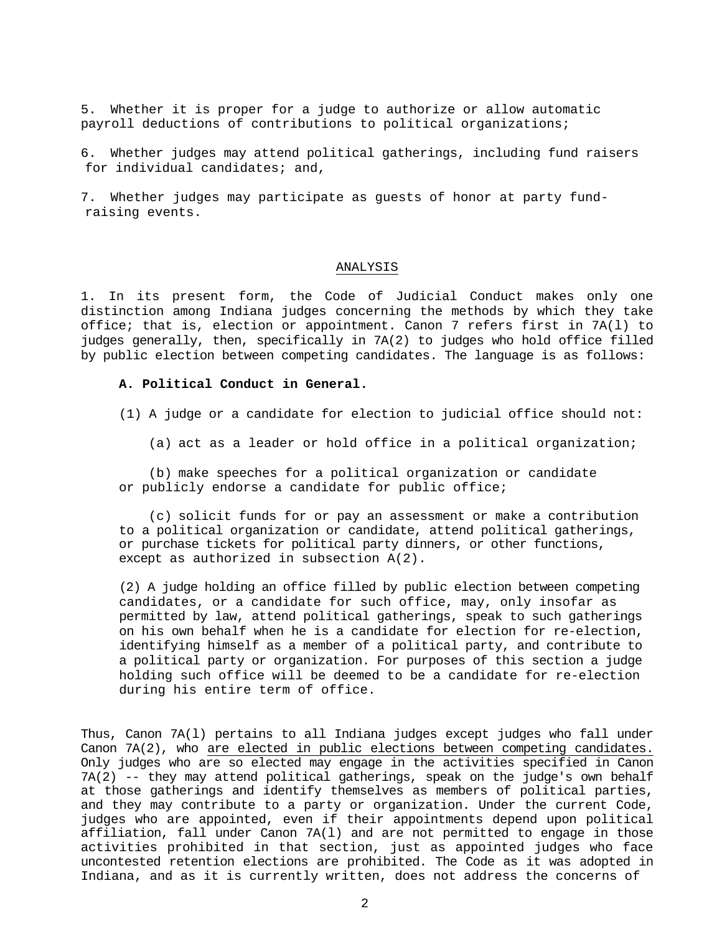5. Whether it is proper for a judge to authorize or allow automatic payroll deductions of contributions to political organizations;

6. Whether judges may attend political gatherings, including fund raisers for individual candidates; and,

7. Whether judges may participate as guests of honor at party fundraising events.

#### ANALYSIS

1. In its present form, the Code of Judicial Conduct makes only one distinction among Indiana judges concerning the methods by which they take office; that is, election or appointment. Canon 7 refers first in 7A(l) to judges generally, then, specifically in 7A(2) to judges who hold office filled by public election between competing candidates. The language is as follows:

## **A. Political Conduct in General.**

(1) A judge or a candidate for election to judicial office should not:

(a) act as a leader or hold office in a political organization;

(b) make speeches for a political organization or candidate or publicly endorse a candidate for public office;

(c) solicit funds for or pay an assessment or make a contribution to a political organization or candidate, attend political gatherings, or purchase tickets for political party dinners, or other functions, except as authorized in subsection A(2).

(2) A judge holding an office filled by public election between competing candidates, or a candidate for such office, may, only insofar as permitted by law, attend political gatherings, speak to such gatherings on his own behalf when he is a candidate for election for re-election, identifying himself as a member of a political party, and contribute to a political party or organization. For purposes of this section a judge holding such office will be deemed to be a candidate for re-election during his entire term of office.

Thus, Canon 7A(l) pertains to all Indiana judges except judges who fall under Canon 7A(2), who are elected in public elections between competing candidates. Only judges who are so elected may engage in the activities specified in Canon 7A(2) -- they may attend political gatherings, speak on the judge's own behalf at those gatherings and identify themselves as members of political parties, and they may contribute to a party or organization. Under the current Code, judges who are appointed, even if their appointments depend upon political affiliation, fall under Canon 7A(l) and are not permitted to engage in those activities prohibited in that section, just as appointed judges who face uncontested retention elections are prohibited. The Code as it was adopted in Indiana, and as it is currently written, does not address the concerns of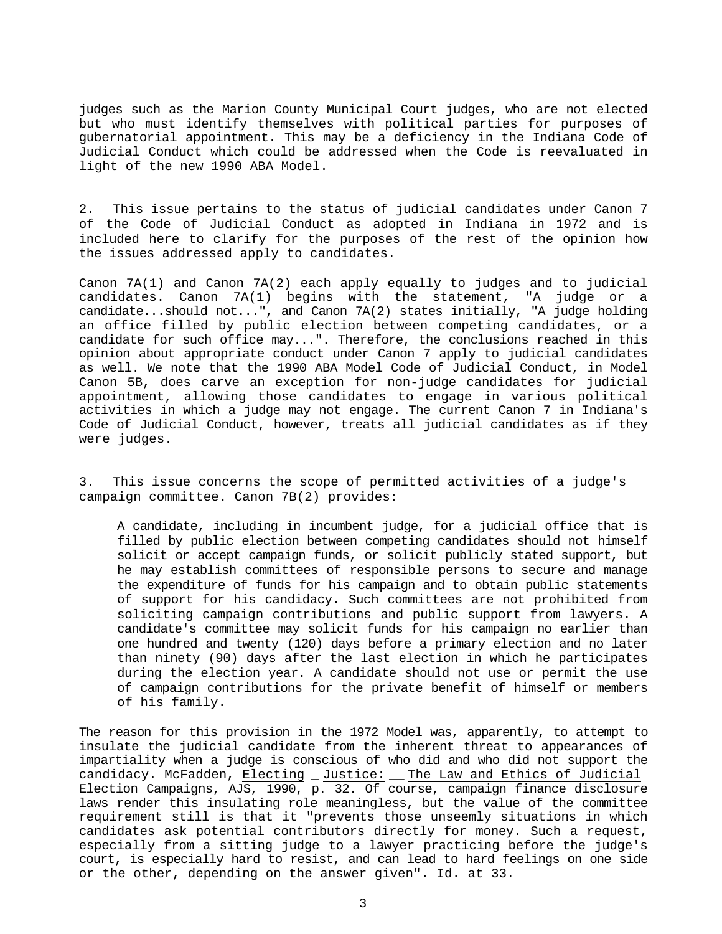judges such as the Marion County Municipal Court judges, who are not elected but who must identify themselves with political parties for purposes of gubernatorial appointment. This may be a deficiency in the Indiana Code of Judicial Conduct which could be addressed when the Code is reevaluated in light of the new 1990 ABA Model.

2. This issue pertains to the status of judicial candidates under Canon 7 of the Code of Judicial Conduct as adopted in Indiana in 1972 and is included here to clarify for the purposes of the rest of the opinion how the issues addressed apply to candidates.

Canon 7A(1) and Canon 7A(2) each apply equally to judges and to judicial candidates. Canon 7A(1) begins with the statement, "A judge or a candidate...should not...", and Canon 7A(2) states initially, "A judge holding an office filled by public election between competing candidates, or a candidate for such office may...". Therefore, the conclusions reached in this opinion about appropriate conduct under Canon 7 apply to judicial candidates as well. We note that the 1990 ABA Model Code of Judicial Conduct, in Model Canon 5B, does carve an exception for non-judge candidates for judicial appointment, allowing those candidates to engage in various political activities in which a judge may not engage. The current Canon 7 in Indiana's Code of Judicial Conduct, however, treats all judicial candidates as if they were judges.

3. This issue concerns the scope of permitted activities of a judge's campaign committee. Canon 7B(2) provides:

A candidate, including in incumbent judge, for a judicial office that is filled by public election between competing candidates should not himself solicit or accept campaign funds, or solicit publicly stated support, but he may establish committees of responsible persons to secure and manage the expenditure of funds for his campaign and to obtain public statements of support for his candidacy. Such committees are not prohibited from soliciting campaign contributions and public support from lawyers. A candidate's committee may solicit funds for his campaign no earlier than one hundred and twenty (120) days before a primary election and no later than ninety (90) days after the last election in which he participates during the election year. A candidate should not use or permit the use of campaign contributions for the private benefit of himself or members of his family.

The reason for this provision in the 1972 Model was, apparently, to attempt to insulate the judicial candidate from the inherent threat to appearances of impartiality when a judge is conscious of who did and who did not support the candidacy. McFadden, Electing \_ Justice: \_\_ The Law and Ethics of Judicial Election Campaigns, AJS, 1990, p. 32. Of course, campaign finance disclosure laws render this insulating role meaningless, but the value of the committee requirement still is that it "prevents those unseemly situations in which candidates ask potential contributors directly for money. Such a request, especially from a sitting judge to a lawyer practicing before the judge's court, is especially hard to resist, and can lead to hard feelings on one side or the other, depending on the answer given". Id. at 33.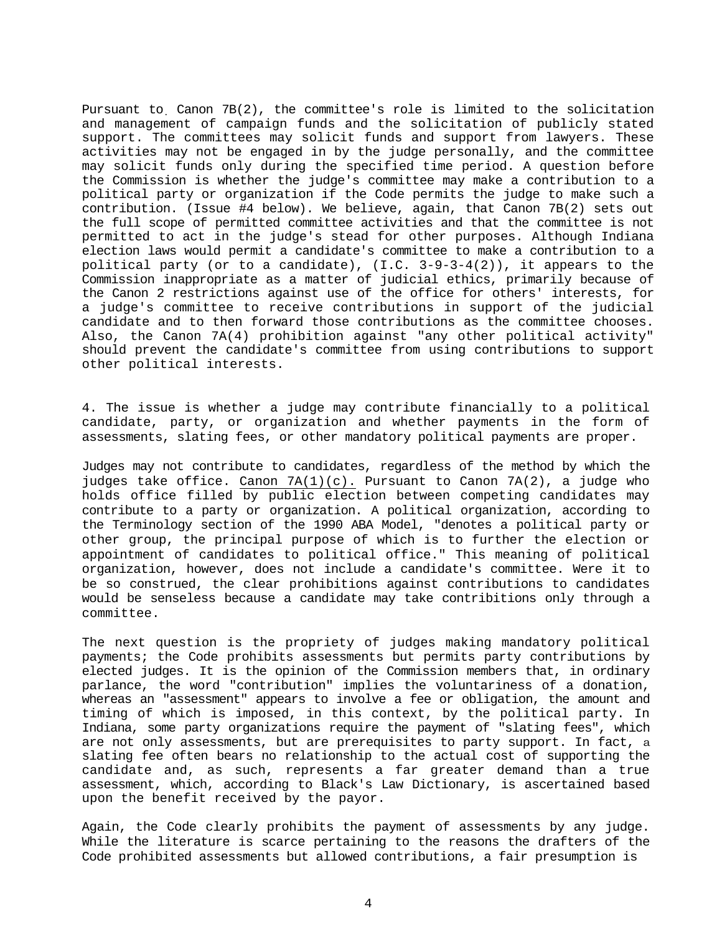Pursuant to. Canon 7B(2), the committee's role is limited to the solicitation and management of campaign funds and the solicitation of publicly stated support. The committees may solicit funds and support from lawyers. These activities may not be engaged in by the judge personally, and the committee may solicit funds only during the specified time period. A question before the Commission is whether the judge's committee may make a contribution to a political party or organization if the Code permits the judge to make such a contribution. (Issue #4 below). We believe, again, that Canon 7B(2) sets out the full scope of permitted committee activities and that the committee is not permitted to act in the judge's stead for other purposes. Although Indiana election laws would permit a candidate's committee to make a contribution to a political party (or to a candidate),  $(I.C. 3-9-3-4(2))$ , it appears to the Commission inappropriate as a matter of judicial ethics, primarily because of the Canon 2 restrictions against use of the office for others' interests, for a judge's committee to receive contributions in support of the judicial candidate and to then forward those contributions as the committee chooses. Also, the Canon 7A(4) prohibition against "any other political activity" should prevent the candidate's committee from using contributions to support other political interests.

4. The issue is whether a judge may contribute financially to a political candidate, party, or organization and whether payments in the form of assessments, slating fees, or other mandatory political payments are proper.

Judges may not contribute to candidates, regardless of the method by which the judges take office. Canon  $7A(1)(c)$ . Pursuant to Canon  $7A(2)$ , a judge who holds office filled by public election between competing candidates may contribute to a party or organization. A political organization, according to the Terminology section of the 1990 ABA Model, "denotes a political party or other group, the principal purpose of which is to further the election or appointment of candidates to political office." This meaning of political organization, however, does not include a candidate's committee. Were it to be so construed, the clear prohibitions against contributions to candidates would be senseless because a candidate may take contribitions only through a committee.

The next question is the propriety of judges making mandatory political payments; the Code prohibits assessments but permits party contributions by elected judges. It is the opinion of the Commission members that, in ordinary parlance, the word "contribution" implies the voluntariness of a donation, whereas an "assessment" appears to involve a fee or obligation, the amount and timing of which is imposed, in this context, by the political party. In Indiana, some party organizations require the payment of "slating fees", which are not only assessments, but are prerequisites to party support. In fact, a slating fee often bears no relationship to the actual cost of supporting the candidate and, as such, represents a far greater demand than a true assessment, which, according to Black's Law Dictionary, is ascertained based upon the benefit received by the payor.

Again, the Code clearly prohibits the payment of assessments by any judge. While the literature is scarce pertaining to the reasons the drafters of the Code prohibited assessments but allowed contributions, a fair presumption is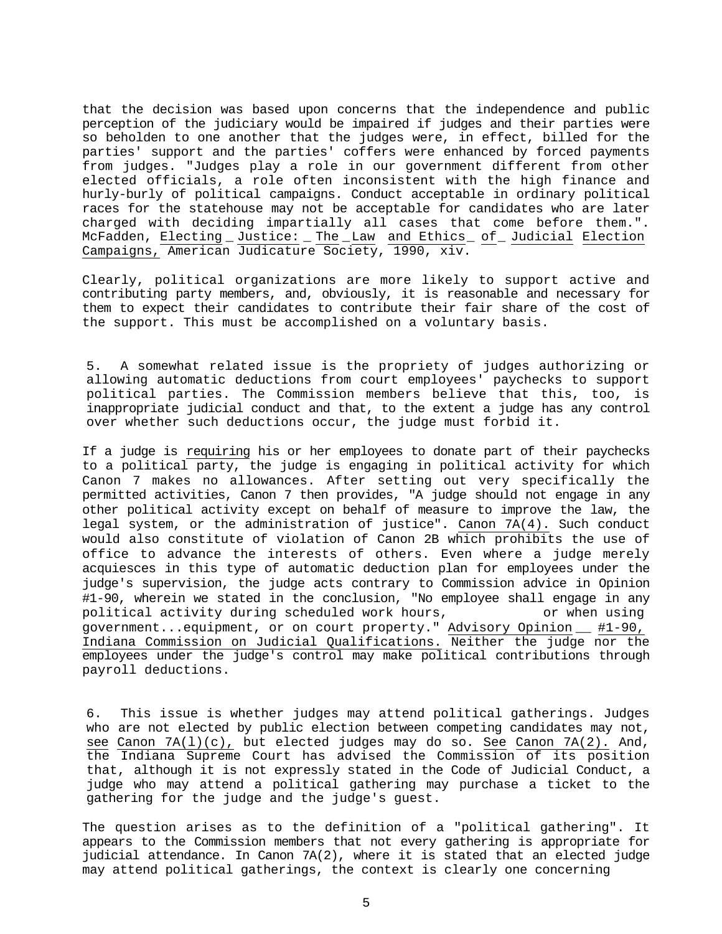that the decision was based upon concerns that the independence and public perception of the judiciary would be impaired if judges and their parties were so beholden to one another that the judges were, in effect, billed for the parties' support and the parties' coffers were enhanced by forced payments from judges. "Judges play a role in our government different from other elected officials, a role often inconsistent with the high finance and hurly-burly of political campaigns. Conduct acceptable in ordinary political races for the statehouse may not be acceptable for candidates who are later charged with deciding impartially all cases that come before them.". McFadden, Electing \_ Justice: \_ The \_Law and Ethics\_ of\_ Judicial Election Campaigns, American Judicature Society, 1990, xiv.

Clearly, political organizations are more likely to support active and contributing party members, and, obviously, it is reasonable and necessary for them to expect their candidates to contribute their fair share of the cost of the support. This must be accomplished on a voluntary basis.

5. A somewhat related issue is the propriety of judges authorizing or allowing automatic deductions from court employees' paychecks to support political parties. The Commission members believe that this, too, is inappropriate judicial conduct and that, to the extent a judge has any control over whether such deductions occur, the judge must forbid it.

If a judge is requiring his or her employees to donate part of their paychecks to a political party, the judge is engaging in political activity for which Canon 7 makes no allowances. After setting out very specifically the permitted activities, Canon 7 then provides, "A judge should not engage in any other political activity except on behalf of measure to improve the law, the legal system, or the administration of justice". Canon 7A(4). Such conduct would also constitute of violation of Canon 2B which prohibits the use of office to advance the interests of others. Even where a judge merely acquiesces in this type of automatic deduction plan for employees under the judge's supervision, the judge acts contrary to Commission advice in Opinion #1-90, wherein we stated in the conclusion, "No employee shall engage in any political activity during scheduled work hours, or when using government...equipment, or on court property." Advisory Opinion \_\_ #1-90, Indiana Commission on Judicial Qualifications. Neither the judge nor the employees under the judge's control may make political contributions through payroll deductions.

6. This issue is whether judges may attend political gatherings. Judges who are not elected by public election between competing candidates may not, see Canon 7A(l)(c), but elected judges may do so. See Canon 7A(2). And, the Indiana Supreme Court has advised the Commission of its position that, although it is not expressly stated in the Code of Judicial Conduct, a judge who may attend a political gathering may purchase a ticket to the gathering for the judge and the judge's guest.

The question arises as to the definition of a "political gathering". It appears to the Commission members that not every gathering is appropriate for judicial attendance. In Canon 7A(2), where it is stated that an elected judge may attend political gatherings, the context is clearly one concerning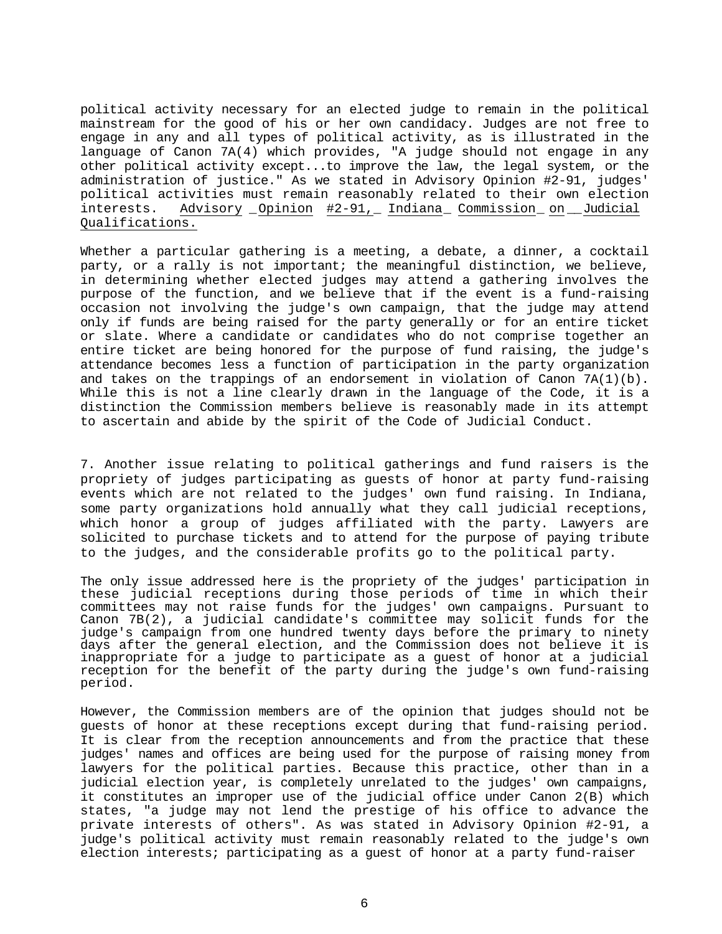political activity necessary for an elected judge to remain in the political mainstream for the good of his or her own candidacy. Judges are not free to engage in any and all types of political activity, as is illustrated in the language of Canon 7A(4) which provides, "A judge should not engage in any other political activity except...to improve the law, the legal system, or the administration of justice." As we stated in Advisory Opinion #2-91, judges' political activities must remain reasonably related to their own election interests. Advisory \_Opinion #2-91,\_ Indiana\_ Commission\_ on \_\_Judicial Qualifications.

Whether a particular gathering is a meeting, a debate, a dinner, a cocktail party, or a rally is not important; the meaningful distinction, we believe, in determining whether elected judges may attend a gathering involves the purpose of the function, and we believe that if the event is a fund-raising occasion not involving the judge's own campaign, that the judge may attend only if funds are being raised for the party generally or for an entire ticket or slate. Where a candidate or candidates who do not comprise together an entire ticket are being honored for the purpose of fund raising, the judge's attendance becomes less a function of participation in the party organization and takes on the trappings of an endorsement in violation of Canon  $7A(1)(b)$ . While this is not a line clearly drawn in the language of the Code, it is a distinction the Commission members believe is reasonably made in its attempt to ascertain and abide by the spirit of the Code of Judicial Conduct.

7. Another issue relating to political gatherings and fund raisers is the propriety of judges participating as guests of honor at party fund-raising events which are not related to the judges' own fund raising. In Indiana, some party organizations hold annually what they call judicial receptions, which honor a group of judges affiliated with the party. Lawyers are solicited to purchase tickets and to attend for the purpose of paying tribute to the judges, and the considerable profits go to the political party.

The only issue addressed here is the propriety of the judges' participation in these judicial receptions during those periods of time in which their committees may not raise funds for the judges' own campaigns. Pursuant to Canon 7B(2), a judicial candidate's committee may solicit funds for the judge's campaign from one hundred twenty days before the primary to ninety days after the general election, and the Commission does not believe it is inappropriate for a judge to participate as a guest of honor at a judicial reception for the benefit of the party during the judge's own fund-raising period.

However, the Commission members are of the opinion that judges should not be guests of honor at these receptions except during that fund-raising period. It is clear from the reception announcements and from the practice that these judges' names and offices are being used for the purpose of raising money from lawyers for the political parties. Because this practice, other than in a judicial election year, is completely unrelated to the judges' own campaigns, it constitutes an improper use of the judicial office under Canon 2(B) which states, "a judge may not lend the prestige of his office to advance the private interests of others". As was stated in Advisory Opinion #2-91, a judge's political activity must remain reasonably related to the judge's own election interests; participating as a guest of honor at a party fund-raiser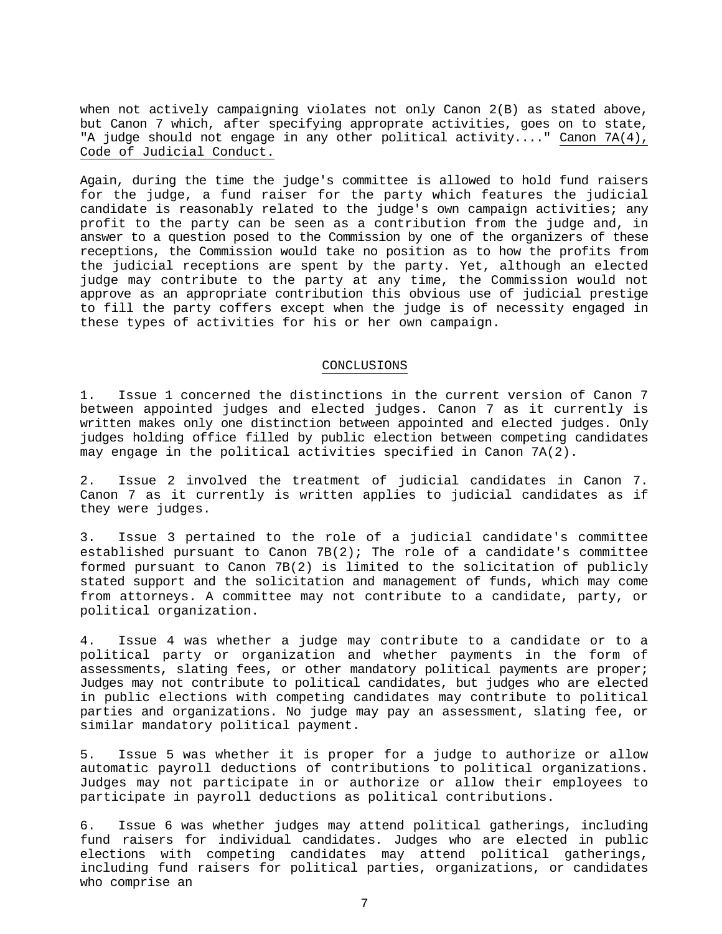when not actively campaigning violates not only Canon 2(B) as stated above, but Canon 7 which, after specifying approprate activities, goes on to state, "A judge should not engage in any other political activity...." Canon 7A(4), Code of Judicial Conduct.

Again, during the time the judge's committee is allowed to hold fund raisers for the judge, a fund raiser for the party which features the judicial candidate is reasonably related to the judge's own campaign activities; any profit to the party can be seen as a contribution from the judge and, in answer to a question posed to the Commission by one of the organizers of these receptions, the Commission would take no position as to how the profits from the judicial receptions are spent by the party. Yet, although an elected judge may contribute to the party at any time, the Commission would not approve as an appropriate contribution this obvious use of judicial prestige to fill the party coffers except when the judge is of necessity engaged in these types of activities for his or her own campaign.

#### CONCLUSIONS

1. Issue 1 concerned the distinctions in the current version of Canon 7 between appointed judges and elected judges. Canon 7 as it currently is written makes only one distinction between appointed and elected judges. Only judges holding office filled by public election between competing candidates may engage in the political activities specified in Canon 7A(2).

2. Issue 2 involved the treatment of judicial candidates in Canon 7. Canon 7 as it currently is written applies to judicial candidates as if they were judges.

3. Issue 3 pertained to the role of a judicial candidate's committee established pursuant to Canon  $7B(2)$ ; The role of a candidate's committee formed pursuant to Canon 7B(2) is limited to the solicitation of publicly stated support and the solicitation and management of funds, which may come from attorneys. A committee may not contribute to a candidate, party, or political organization.

4. Issue 4 was whether a judge may contribute to a candidate or to a political party or organization and whether payments in the form of assessments, slating fees, or other mandatory political payments are proper; Judges may not contribute to political candidates, but judges who are elected in public elections with competing candidates may contribute to political parties and organizations. No judge may pay an assessment, slating fee, or similar mandatory political payment.

5. Issue 5 was whether it is proper for a judge to authorize or allow automatic payroll deductions of contributions to political organizations. Judges may not participate in or authorize or allow their employees to participate in payroll deductions as political contributions.

6. Issue 6 was whether judges may attend political gatherings, including fund raisers for individual candidates. Judges who are elected in public elections with competing candidates may attend political gatherings, including fund raisers for political parties, organizations, or candidates who comprise an